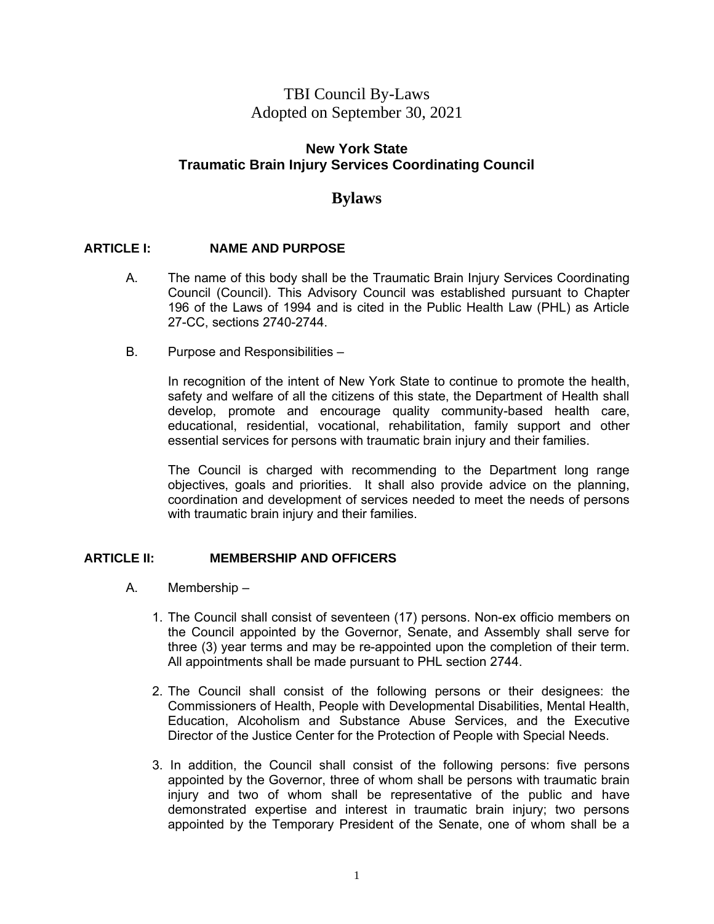# TBI Council By-Laws Adopted on September 30, 2021

### **New York State Traumatic Brain Injury Services Coordinating Council**

## **Bylaws**

### **ARTICLE I: NAME AND PURPOSE**

- A. The name of this body shall be the Traumatic Brain Injury Services Coordinating Council (Council). This Advisory Council was established pursuant to Chapter 196 of the Laws of 1994 and is cited in the Public Health Law (PHL) as Article 27-CC, sections 2740-2744.
- B. Purpose and Responsibilities –

In recognition of the intent of New York State to continue to promote the health, safety and welfare of all the citizens of this state, the Department of Health shall develop, promote and encourage quality community-based health care, educational, residential, vocational, rehabilitation, family support and other essential services for persons with traumatic brain injury and their families.

The Council is charged with recommending to the Department long range objectives, goals and priorities. It shall also provide advice on the planning, coordination and development of services needed to meet the needs of persons with traumatic brain injury and their families.

### **ARTICLE II: MEMBERSHIP AND OFFICERS**

- A. Membership
	- 1. The Council shall consist of seventeen (17) persons. Non-ex officio members on the Council appointed by the Governor, Senate, and Assembly shall serve for three (3) year terms and may be re-appointed upon the completion of their term. All appointments shall be made pursuant to PHL section 2744.
	- 2. The Council shall consist of the following persons or their designees: the Commissioners of Health, People with Developmental Disabilities, Mental Health, Education, Alcoholism and Substance Abuse Services, and the Executive Director of the Justice Center for the Protection of People with Special Needs.
	- 3. In addition, the Council shall consist of the following persons: five persons appointed by the Governor, three of whom shall be persons with traumatic brain injury and two of whom shall be representative of the public and have demonstrated expertise and interest in traumatic brain injury; two persons appointed by the Temporary President of the Senate, one of whom shall be a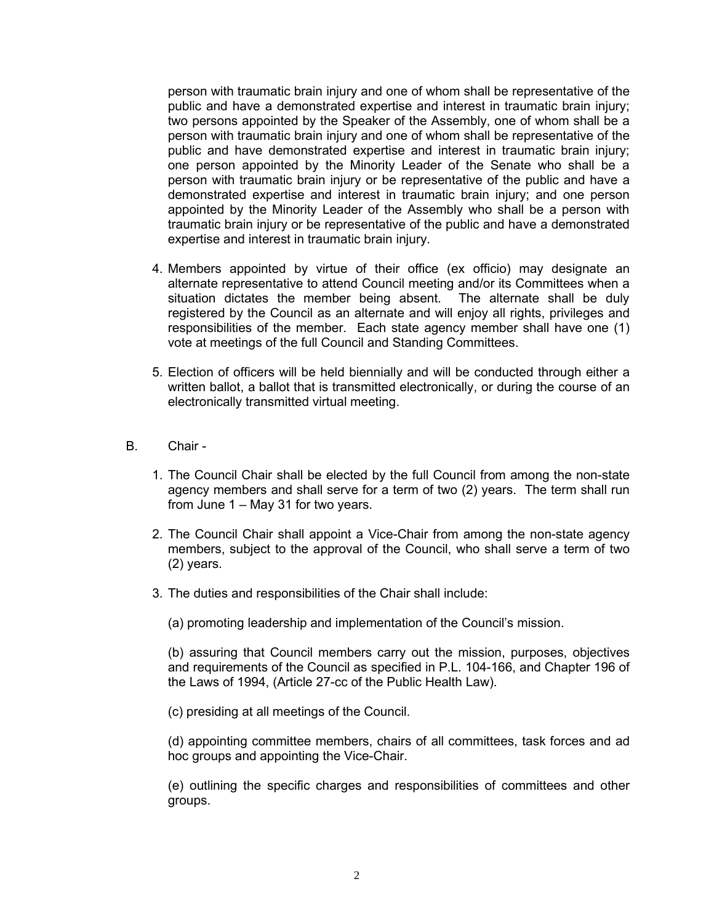person with traumatic brain injury and one of whom shall be representative of the public and have a demonstrated expertise and interest in traumatic brain injury; two persons appointed by the Speaker of the Assembly, one of whom shall be a person with traumatic brain injury and one of whom shall be representative of the public and have demonstrated expertise and interest in traumatic brain injury; one person appointed by the Minority Leader of the Senate who shall be a person with traumatic brain injury or be representative of the public and have a demonstrated expertise and interest in traumatic brain injury; and one person appointed by the Minority Leader of the Assembly who shall be a person with traumatic brain injury or be representative of the public and have a demonstrated expertise and interest in traumatic brain injury.

- 4. Members appointed by virtue of their office (ex officio) may designate an alternate representative to attend Council meeting and/or its Committees when a situation dictates the member being absent. The alternate shall be duly registered by the Council as an alternate and will enjoy all rights, privileges and responsibilities of the member. Each state agency member shall have one (1) vote at meetings of the full Council and Standing Committees.
- 5. Election of officers will be held biennially and will be conducted through either a written ballot, a ballot that is transmitted electronically, or during the course of an electronically transmitted virtual meeting.
- B. Chair
	- 1. The Council Chair shall be elected by the full Council from among the non-state agency members and shall serve for a term of two (2) years. The term shall run from June 1 – May 31 for two years.
	- 2. The Council Chair shall appoint a Vice-Chair from among the non-state agency members, subject to the approval of the Council, who shall serve a term of two (2) years.
	- 3. The duties and responsibilities of the Chair shall include:

(a) promoting leadership and implementation of the Council's mission.

(b) assuring that Council members carry out the mission, purposes, objectives and requirements of the Council as specified in P.L. 104-166, and Chapter 196 of the Laws of 1994, (Article 27-cc of the Public Health Law).

(c) presiding at all meetings of the Council.

(d) appointing committee members, chairs of all committees, task forces and ad hoc groups and appointing the Vice-Chair.

(e) outlining the specific charges and responsibilities of committees and other groups.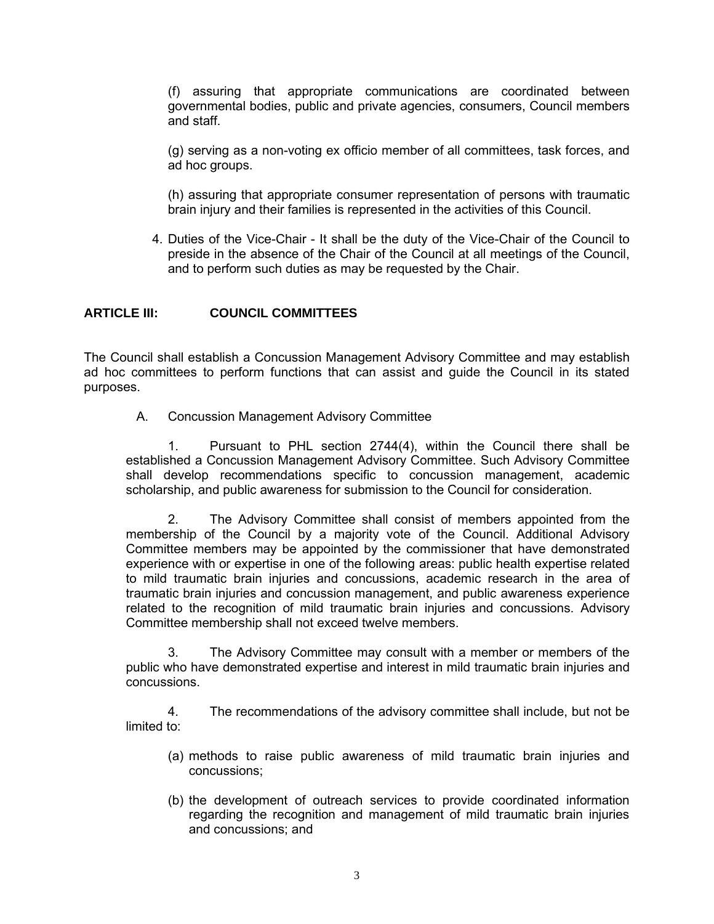(f) assuring that appropriate communications are coordinated between governmental bodies, public and private agencies, consumers, Council members and staff.

(g) serving as a non-voting ex officio member of all committees, task forces, and ad hoc groups.

(h) assuring that appropriate consumer representation of persons with traumatic brain injury and their families is represented in the activities of this Council.

4. Duties of the Vice-Chair - It shall be the duty of the Vice-Chair of the Council to preside in the absence of the Chair of the Council at all meetings of the Council, and to perform such duties as may be requested by the Chair.

### **ARTICLE III: COUNCIL COMMITTEES**

The Council shall establish a Concussion Management Advisory Committee and may establish ad hoc committees to perform functions that can assist and guide the Council in its stated purposes.

A. Concussion Management Advisory Committee

1. Pursuant to PHL section 2744(4), within the Council there shall be established a Concussion Management Advisory Committee. Such Advisory Committee shall develop recommendations specific to concussion management, academic scholarship, and public awareness for submission to the Council for consideration.

2. The Advisory Committee shall consist of members appointed from the membership of the Council by a majority vote of the Council. Additional Advisory Committee members may be appointed by the commissioner that have demonstrated experience with or expertise in one of the following areas: public health expertise related to mild traumatic brain injuries and concussions, academic research in the area of traumatic brain injuries and concussion management, and public awareness experience related to the recognition of mild traumatic brain injuries and concussions. Advisory Committee membership shall not exceed twelve members.

3. The Advisory Committee may consult with a member or members of the public who have demonstrated expertise and interest in mild traumatic brain injuries and concussions.

4. The recommendations of the advisory committee shall include, but not be limited to:

- (a) methods to raise public awareness of mild traumatic brain injuries and concussions;
- (b) the development of outreach services to provide coordinated information regarding the recognition and management of mild traumatic brain injuries and concussions; and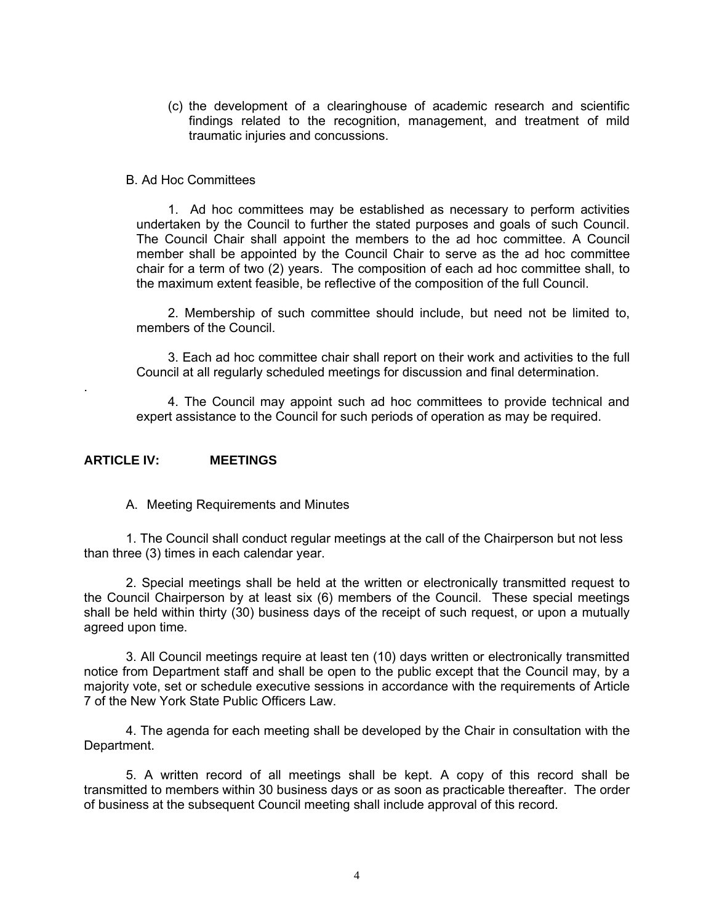(c) the development of a clearinghouse of academic research and scientific findings related to the recognition, management, and treatment of mild traumatic injuries and concussions.

#### B. Ad Hoc Committees

1. Ad hoc committees may be established as necessary to perform activities undertaken by the Council to further the stated purposes and goals of such Council. The Council Chair shall appoint the members to the ad hoc committee. A Council member shall be appointed by the Council Chair to serve as the ad hoc committee chair for a term of two (2) years. The composition of each ad hoc committee shall, to the maximum extent feasible, be reflective of the composition of the full Council.

2. Membership of such committee should include, but need not be limited to, members of the Council.

3. Each ad hoc committee chair shall report on their work and activities to the full Council at all regularly scheduled meetings for discussion and final determination.

4. The Council may appoint such ad hoc committees to provide technical and expert assistance to the Council for such periods of operation as may be required.

#### **ARTICLE IV: MEETINGS**

.

A. Meeting Requirements and Minutes

1. The Council shall conduct regular meetings at the call of the Chairperson but not less than three (3) times in each calendar year.

2. Special meetings shall be held at the written or electronically transmitted request to the Council Chairperson by at least six (6) members of the Council. These special meetings shall be held within thirty (30) business days of the receipt of such request, or upon a mutually agreed upon time.

3. All Council meetings require at least ten (10) days written or electronically transmitted notice from Department staff and shall be open to the public except that the Council may, by a majority vote, set or schedule executive sessions in accordance with the requirements of Article 7 of the New York State Public Officers Law.

4. The agenda for each meeting shall be developed by the Chair in consultation with the Department.

5. A written record of all meetings shall be kept. A copy of this record shall be transmitted to members within 30 business days or as soon as practicable thereafter. The order of business at the subsequent Council meeting shall include approval of this record.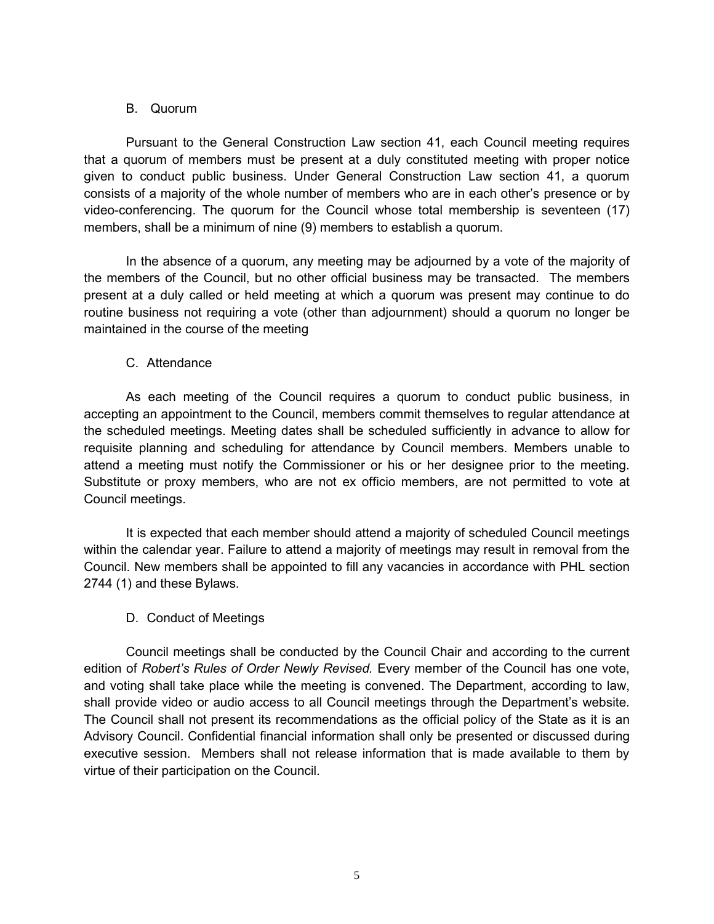### B. Quorum

Pursuant to the General Construction Law section 41, each Council meeting requires that a quorum of members must be present at a duly constituted meeting with proper notice given to conduct public business. Under General Construction Law section 41, a quorum consists of a majority of the whole number of members who are in each other's presence or by video-conferencing. The quorum for the Council whose total membership is seventeen (17) members, shall be a minimum of nine (9) members to establish a quorum.

In the absence of a quorum, any meeting may be adjourned by a vote of the majority of the members of the Council, but no other official business may be transacted. The members present at a duly called or held meeting at which a quorum was present may continue to do routine business not requiring a vote (other than adjournment) should a quorum no longer be maintained in the course of the meeting

### C. Attendance

As each meeting of the Council requires a quorum to conduct public business, in accepting an appointment to the Council, members commit themselves to regular attendance at the scheduled meetings. Meeting dates shall be scheduled sufficiently in advance to allow for requisite planning and scheduling for attendance by Council members. Members unable to attend a meeting must notify the Commissioner or his or her designee prior to the meeting. Substitute or proxy members, who are not ex officio members, are not permitted to vote at Council meetings.

It is expected that each member should attend a majority of scheduled Council meetings within the calendar year. Failure to attend a majority of meetings may result in removal from the Council. New members shall be appointed to fill any vacancies in accordance with PHL section 2744 (1) and these Bylaws.

### D. Conduct of Meetings

Council meetings shall be conducted by the Council Chair and according to the current edition of *Robert's Rules of Order Newly Revised.* Every member of the Council has one vote, and voting shall take place while the meeting is convened. The Department, according to law, shall provide video or audio access to all Council meetings through the Department's website. The Council shall not present its recommendations as the official policy of the State as it is an Advisory Council. Confidential financial information shall only be presented or discussed during executive session. Members shall not release information that is made available to them by virtue of their participation on the Council.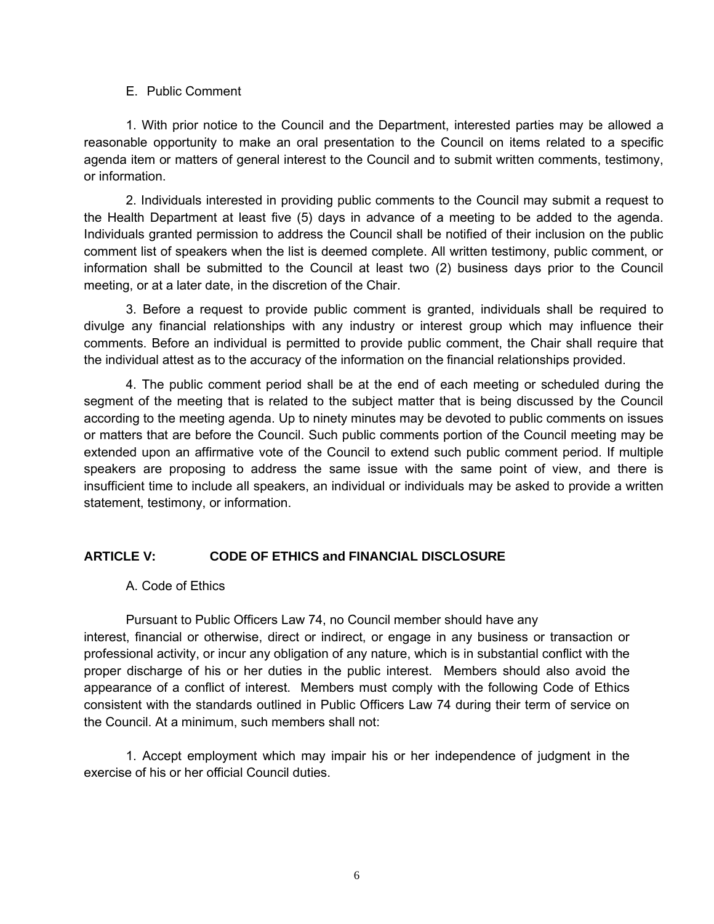#### E. Public Comment

1. With prior notice to the Council and the Department, interested parties may be allowed a reasonable opportunity to make an oral presentation to the Council on items related to a specific agenda item or matters of general interest to the Council and to submit written comments, testimony, or information.

2. Individuals interested in providing public comments to the Council may submit a request to the Health Department at least five (5) days in advance of a meeting to be added to the agenda. Individuals granted permission to address the Council shall be notified of their inclusion on the public comment list of speakers when the list is deemed complete. All written testimony, public comment, or information shall be submitted to the Council at least two (2) business days prior to the Council meeting, or at a later date, in the discretion of the Chair.

3. Before a request to provide public comment is granted, individuals shall be required to divulge any financial relationships with any industry or interest group which may influence their comments. Before an individual is permitted to provide public comment, the Chair shall require that the individual attest as to the accuracy of the information on the financial relationships provided.

4. The public comment period shall be at the end of each meeting or scheduled during the segment of the meeting that is related to the subject matter that is being discussed by the Council according to the meeting agenda. Up to ninety minutes may be devoted to public comments on issues or matters that are before the Council. Such public comments portion of the Council meeting may be extended upon an affirmative vote of the Council to extend such public comment period. If multiple speakers are proposing to address the same issue with the same point of view, and there is insufficient time to include all speakers, an individual or individuals may be asked to provide a written statement, testimony, or information.

## **ARTICLE V: CODE OF ETHICS and FINANCIAL DISCLOSURE**

### A. Code of Ethics

Pursuant to Public Officers Law 74, no Council member should have any interest, financial or otherwise, direct or indirect, or engage in any business or transaction or professional activity, or incur any obligation of any nature, which is in substantial conflict with the proper discharge of his or her duties in the public interest. Members should also avoid the appearance of a conflict of interest. Members must comply with the following Code of Ethics consistent with the standards outlined in Public Officers Law 74 during their term of service on the Council. At a minimum, such members shall not:

1. Accept employment which may impair his or her independence of judgment in the exercise of his or her official Council duties.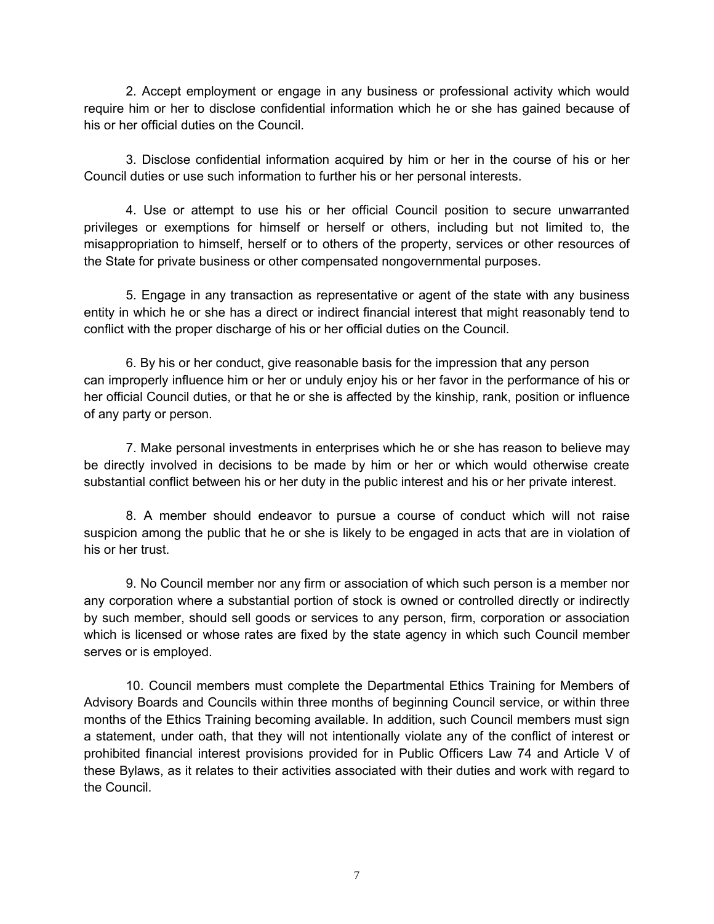2. Accept employment or engage in any business or professional activity which would require him or her to disclose confidential information which he or she has gained because of his or her official duties on the Council.

3. Disclose confidential information acquired by him or her in the course of his or her Council duties or use such information to further his or her personal interests.

4. Use or attempt to use his or her official Council position to secure unwarranted privileges or exemptions for himself or herself or others, including but not limited to, the misappropriation to himself, herself or to others of the property, services or other resources of the State for private business or other compensated nongovernmental purposes.

5. Engage in any transaction as representative or agent of the state with any business entity in which he or she has a direct or indirect financial interest that might reasonably tend to conflict with the proper discharge of his or her official duties on the Council.

6. By his or her conduct, give reasonable basis for the impression that any person can improperly influence him or her or unduly enjoy his or her favor in the performance of his or her official Council duties, or that he or she is affected by the kinship, rank, position or influence of any party or person.

7. Make personal investments in enterprises which he or she has reason to believe may be directly involved in decisions to be made by him or her or which would otherwise create substantial conflict between his or her duty in the public interest and his or her private interest.

8. A member should endeavor to pursue a course of conduct which will not raise suspicion among the public that he or she is likely to be engaged in acts that are in violation of his or her trust.

9. No Council member nor any firm or association of which such person is a member nor any corporation where a substantial portion of stock is owned or controlled directly or indirectly by such member, should sell goods or services to any person, firm, corporation or association which is licensed or whose rates are fixed by the state agency in which such Council member serves or is employed.

10. Council members must complete the Departmental Ethics Training for Members of Advisory Boards and Councils within three months of beginning Council service, or within three months of the Ethics Training becoming available. In addition, such Council members must sign a statement, under oath, that they will not intentionally violate any of the conflict of interest or prohibited financial interest provisions provided for in Public Officers Law 74 and Article V of these Bylaws, as it relates to their activities associated with their duties and work with regard to the Council.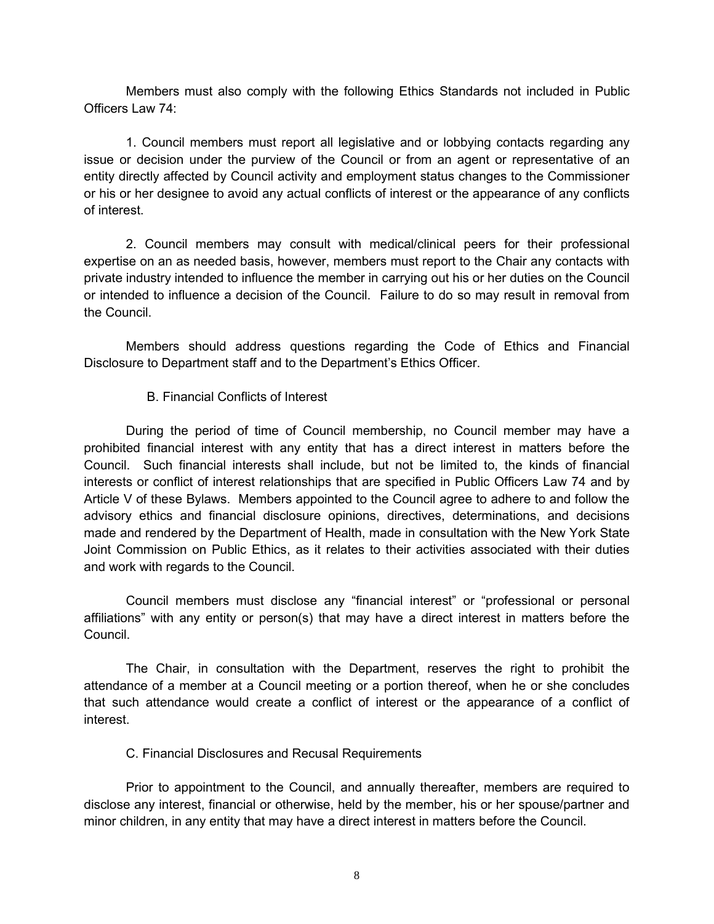Members must also comply with the following Ethics Standards not included in Public Officers Law 74:

1. Council members must report all legislative and or lobbying contacts regarding any issue or decision under the purview of the Council or from an agent or representative of an entity directly affected by Council activity and employment status changes to the Commissioner or his or her designee to avoid any actual conflicts of interest or the appearance of any conflicts of interest.

2. Council members may consult with medical/clinical peers for their professional expertise on an as needed basis, however, members must report to the Chair any contacts with private industry intended to influence the member in carrying out his or her duties on the Council or intended to influence a decision of the Council. Failure to do so may result in removal from the Council.

Members should address questions regarding the Code of Ethics and Financial Disclosure to Department staff and to the Department's Ethics Officer.

### B. Financial Conflicts of Interest

During the period of time of Council membership, no Council member may have a prohibited financial interest with any entity that has a direct interest in matters before the Council. Such financial interests shall include, but not be limited to, the kinds of financial interests or conflict of interest relationships that are specified in Public Officers Law 74 and by Article V of these Bylaws. Members appointed to the Council agree to adhere to and follow the advisory ethics and financial disclosure opinions, directives, determinations, and decisions made and rendered by the Department of Health, made in consultation with the New York State Joint Commission on Public Ethics, as it relates to their activities associated with their duties and work with regards to the Council.

Council members must disclose any "financial interest" or "professional or personal affiliations" with any entity or person(s) that may have a direct interest in matters before the Council.

The Chair, in consultation with the Department, reserves the right to prohibit the attendance of a member at a Council meeting or a portion thereof, when he or she concludes that such attendance would create a conflict of interest or the appearance of a conflict of interest.

### C. Financial Disclosures and Recusal Requirements

Prior to appointment to the Council, and annually thereafter, members are required to disclose any interest, financial or otherwise, held by the member, his or her spouse/partner and minor children, in any entity that may have a direct interest in matters before the Council.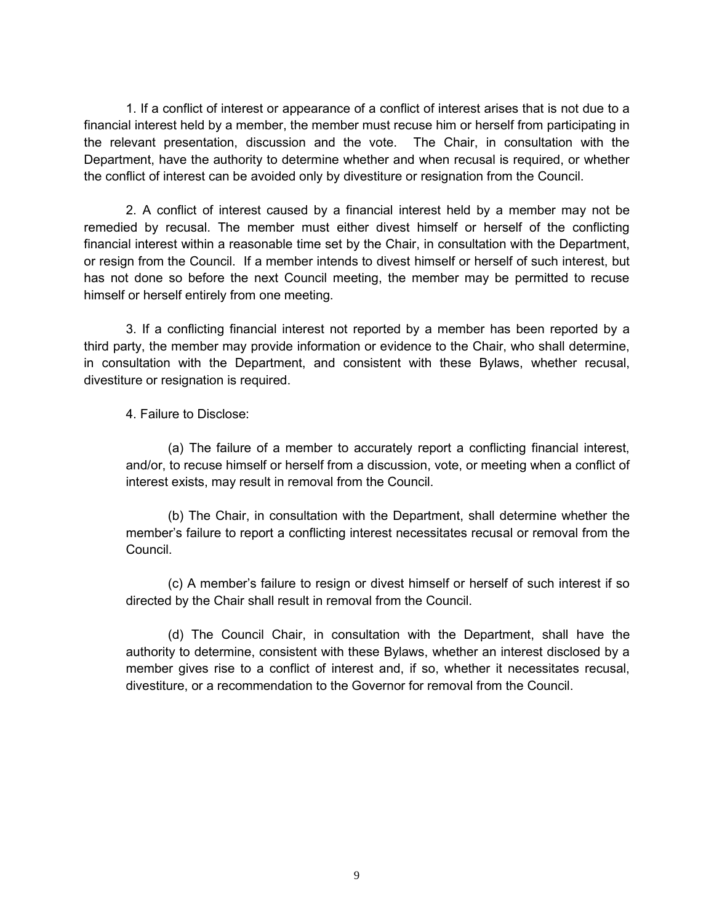1. If a conflict of interest or appearance of a conflict of interest arises that is not due to a financial interest held by a member, the member must recuse him or herself from participating in the relevant presentation, discussion and the vote. The Chair, in consultation with the Department, have the authority to determine whether and when recusal is required, or whether the conflict of interest can be avoided only by divestiture or resignation from the Council.

2. A conflict of interest caused by a financial interest held by a member may not be remedied by recusal. The member must either divest himself or herself of the conflicting financial interest within a reasonable time set by the Chair, in consultation with the Department, or resign from the Council. If a member intends to divest himself or herself of such interest, but has not done so before the next Council meeting, the member may be permitted to recuse himself or herself entirely from one meeting.

3. If a conflicting financial interest not reported by a member has been reported by a third party, the member may provide information or evidence to the Chair, who shall determine, in consultation with the Department, and consistent with these Bylaws, whether recusal, divestiture or resignation is required.

4. Failure to Disclose:

(a) The failure of a member to accurately report a conflicting financial interest, and/or, to recuse himself or herself from a discussion, vote, or meeting when a conflict of interest exists, may result in removal from the Council.

(b) The Chair, in consultation with the Department, shall determine whether the member's failure to report a conflicting interest necessitates recusal or removal from the Council.

(c) A member's failure to resign or divest himself or herself of such interest if so directed by the Chair shall result in removal from the Council.

(d) The Council Chair, in consultation with the Department, shall have the authority to determine, consistent with these Bylaws, whether an interest disclosed by a member gives rise to a conflict of interest and, if so, whether it necessitates recusal, divestiture, or a recommendation to the Governor for removal from the Council.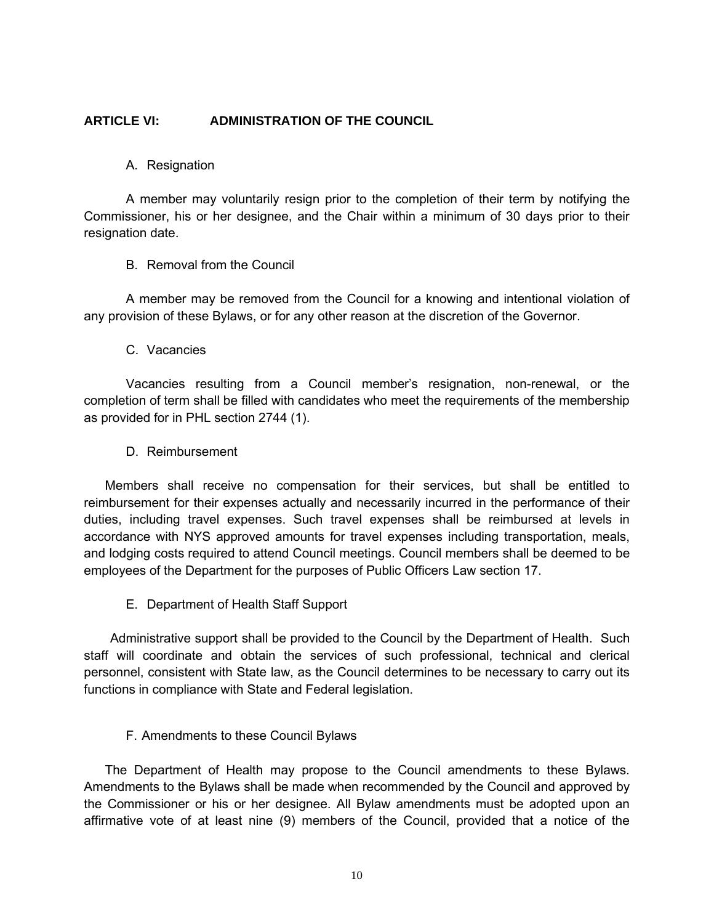### **ARTICLE VI: ADMINISTRATION OF THE COUNCIL**

### A. Resignation

A member may voluntarily resign prior to the completion of their term by notifying the Commissioner, his or her designee, and the Chair within a minimum of 30 days prior to their resignation date.

#### B. Removal from the Council

A member may be removed from the Council for a knowing and intentional violation of any provision of these Bylaws, or for any other reason at the discretion of the Governor.

C. Vacancies

Vacancies resulting from a Council member's resignation, non-renewal, or the completion of term shall be filled with candidates who meet the requirements of the membership as provided for in PHL section 2744 (1).

#### D. Reimbursement

Members shall receive no compensation for their services, but shall be entitled to reimbursement for their expenses actually and necessarily incurred in the performance of their duties, including travel expenses. Such travel expenses shall be reimbursed at levels in accordance with NYS approved amounts for travel expenses including transportation, meals, and lodging costs required to attend Council meetings. Council members shall be deemed to be employees of the Department for the purposes of Public Officers Law section 17.

E. Department of Health Staff Support

Administrative support shall be provided to the Council by the Department of Health. Such staff will coordinate and obtain the services of such professional, technical and clerical personnel, consistent with State law, as the Council determines to be necessary to carry out its functions in compliance with State and Federal legislation.

### F. Amendments to these Council Bylaws

The Department of Health may propose to the Council amendments to these Bylaws. Amendments to the Bylaws shall be made when recommended by the Council and approved by the Commissioner or his or her designee. All Bylaw amendments must be adopted upon an affirmative vote of at least nine (9) members of the Council, provided that a notice of the